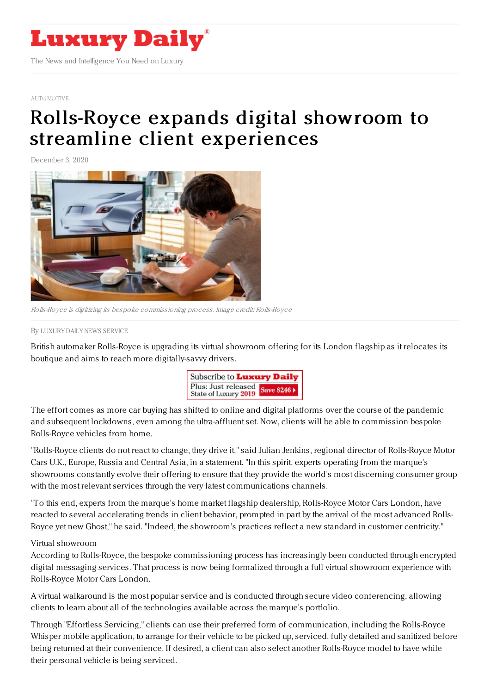

## [AUTOMOTIVE](https://www.luxurydaily.com/category/sectors/automotive-industry-sectors/)

## Rolls-Royce expands digital showroom to streamline client [experiences](https://www.luxurydaily.com/rolls-royce-expands-digital-showroom-to-streamline-client-experiences/)

December 3, 2020



Rolls-Royce is digitizing its bespoke commissioning process. Image credit: Rolls-Royce

By LUXURY DAILY NEWS [SERVICE](file:///author/luxury-daily-news-service)

British automaker Rolls-Royce is upgrading its virtual showroom offering for its London flagship as it relocates its boutique and aims to reach more digitally-savvy drivers.



The effort comes as more car buying has shifted to online and digital platforms over the course of the pandemic and subsequent lockdowns, even among the ultra-affluent set. Now, clients will be able to commission bespoke Rolls-Royce vehicles from home.

"Rolls-Royce clients do not react to change, they drive it," said Julian Jenkins, regional director of Rolls-Royce Motor Cars U.K., Europe, Russia and Central Asia, in a statement. "In this spirit, experts operating from the marque's showrooms constantly evolve their offering to ensure that they provide the world's most discerning consumer group with the most relevant services through the very latest communications channels.

"To this end, experts from the marque's home market flagship dealership, Rolls-Royce Motor Cars London, have reacted to several accelerating trends in client behavior, prompted in part by the arrival of the most advanced Rolls-Royce yet new Ghost," he said. "Indeed, the showroom's practices reflect a new standard in customer centricity."

## Virtual showroom

According to Rolls-Royce, the bespoke commissioning process has increasingly been conducted through encrypted digital messaging services. That process is now being formalized through a full virtual showroom experience with Rolls-Royce Motor Cars London.

A virtual walkaround is the most popular service and is conducted through secure video conferencing, allowing clients to learn about all of the technologies available across the marque's portfolio.

Through "Effortless Servicing," clients can use their preferred form of communication, including the Rolls-Royce Whisper mobile application, to arrange for their vehicle to be picked up, serviced, fully detailed and sanitized before being returned at their convenience. If desired, a client can also select another Rolls-Royce model to have while their personal vehicle is being serviced.